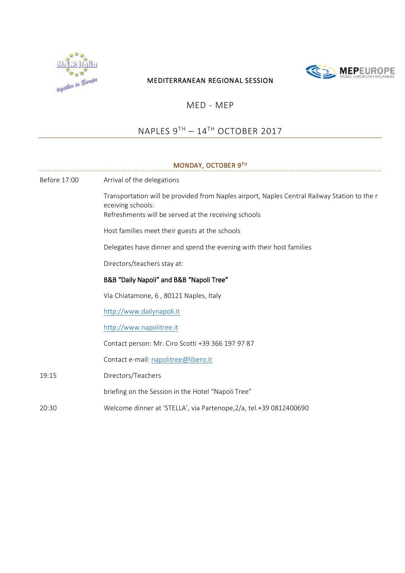

# **SEX MEP**EUROPE

### MEDITERRANEAN REGIONAL SESSION

## MED - MEP

## NAPLES 9TH – 14TH OCTOBER 2017

## MONDAY, OCTOBER 9TH Before 17:00 Arrival of the delegations Transportation will be provided from Naples airport, Naples Central Railway Station to the r eceiving schools: Refreshments will be served at the receiving schools Host families meet their guests at the schools Delegates have dinner and spend the evening with their host families Directors/teachers stay at: B&B "Daily Napoli" and B&B "Napoli Tree" Via Chiatamone, 6 , 80121 Naples, Italy [http://www.dailynapoli.it](http://www.dailynapoli.it/) [http://www.napolitree.it](http://www.napolitree.it/) Contact person: Mr. Ciro Scotti +39 366 197 97 87 Contact e-mail: [napolitree@libero.it](mailto:napolitree@libero.it) 19:15 20:30 Directors/Teachers briefing on the Session in the Hotel "Napoli Tree" Welcome dinner at 'STELLA', via Partenope,2/a, tel.+39 0812400690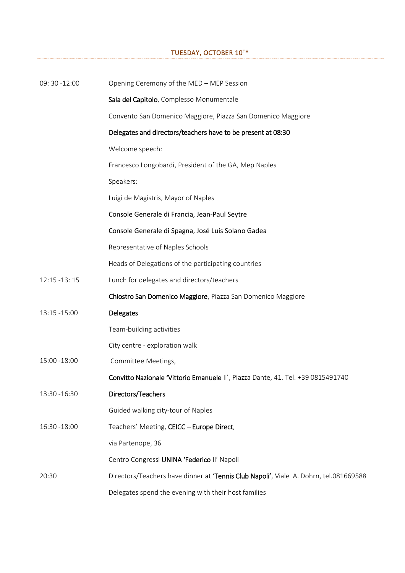## TUESDAY, OCTOBER 10TH

| 09: 30 -12:00 | Opening Ceremony of the MED - MEP Session                                             |
|---------------|---------------------------------------------------------------------------------------|
|               | Sala del Capitolo, Complesso Monumentale                                              |
|               | Convento San Domenico Maggiore, Piazza San Domenico Maggiore                          |
|               | Delegates and directors/teachers have to be present at 08:30                          |
|               | Welcome speech:                                                                       |
|               | Francesco Longobardi, President of the GA, Mep Naples                                 |
|               | Speakers:                                                                             |
|               | Luigi de Magistris, Mayor of Naples                                                   |
|               | Console Generale di Francia, Jean-Paul Seytre                                         |
|               | Console Generale di Spagna, José Luis Solano Gadea                                    |
|               | Representative of Naples Schools                                                      |
|               | Heads of Delegations of the participating countries                                   |
| 12:15 -13:15  | Lunch for delegates and directors/teachers                                            |
|               | Chiostro San Domenico Maggiore, Piazza San Domenico Maggiore                          |
| 13:15 - 15:00 | <b>Delegates</b>                                                                      |
|               | Team-building activities                                                              |
|               | City centre - exploration walk                                                        |
| 15:00 -18:00  | Committee Meetings,                                                                   |
|               | Convitto Nazionale 'Vittorio Emanuele II', Piazza Dante, 41. Tel. +39 0815491740      |
| 13:30 - 16:30 | Directors/Teachers                                                                    |
|               | Guided walking city-tour of Naples                                                    |
| 16:30 - 18:00 | Teachers' Meeting, CEICC - Europe Direct,                                             |
|               | via Partenope, 36                                                                     |
|               | Centro Congressi UNINA 'Federico II' Napoli                                           |
| 20:30         | Directors/Teachers have dinner at 'Tennis Club Napoli', Viale A. Dohrn, tel.081669588 |
|               | Delegates spend the evening with their host families                                  |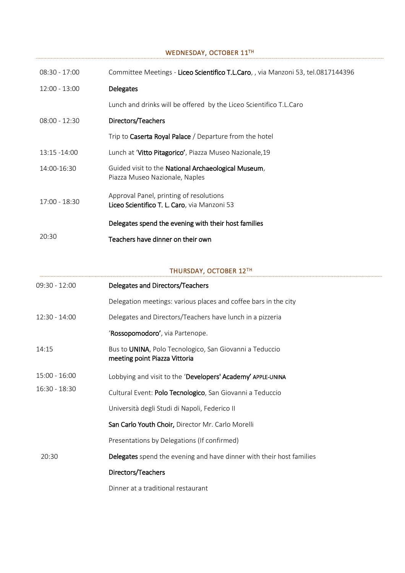#### WEDNESDAY, OCTOBER 11TH

| $08:30 - 17:00$ | Committee Meetings - Liceo Scientifico T.L.Caro,, via Manzoni 53, tel.0817144396        |
|-----------------|-----------------------------------------------------------------------------------------|
| $12:00 - 13:00$ | <b>Delegates</b>                                                                        |
|                 | Lunch and drinks will be offered by the Liceo Scientifico T.L.Caro                      |
| $08:00 - 12:30$ | Directors/Teachers                                                                      |
|                 | Trip to <b>Caserta Royal Palace</b> / Departure from the hotel                          |
| $13:15 - 14:00$ | Lunch at 'Vitto Pitagorico', Piazza Museo Nazionale, 19                                 |
| 14:00-16:30     | Guided visit to the National Archaeological Museum,<br>Piazza Museo Nazionale, Naples   |
| $17:00 - 18:30$ | Approval Panel, printing of resolutions<br>Liceo Scientifico T. L. Caro, via Manzoni 53 |
|                 | Delegates spend the evening with their host families                                    |
| 20:30           | Teachers have dinner on their own                                                       |

## THURSDAY, OCTOBER 12TH

| 09:30 - 12:00   | Delegates and Directors/Teachers                                                         |
|-----------------|------------------------------------------------------------------------------------------|
|                 | Delegation meetings: various places and coffee bars in the city                          |
| $12:30 - 14:00$ | Delegates and Directors/Teachers have lunch in a pizzeria                                |
|                 | 'Rossopomodoro', via Partenope.                                                          |
| 14:15           | Bus to UNINA, Polo Tecnologico, San Giovanni a Teduccio<br>meeting point Piazza Vittoria |
| $15:00 - 16:00$ | Lobbying and visit to the 'Developers' Academy' APPLE-UNINA                              |
| 16:30 - 18:30   | Cultural Event: Polo Tecnologico, San Giovanni a Teduccio                                |
|                 | Università degli Studi di Napoli, Federico II                                            |
|                 | San Carlo Youth Choir, Director Mr. Carlo Morelli                                        |
|                 | Presentations by Delegations (If confirmed)                                              |
| 20:30           | Delegates spend the evening and have dinner with their host families                     |
|                 | Directors/Teachers                                                                       |
|                 | Dinner at a traditional restaurant                                                       |